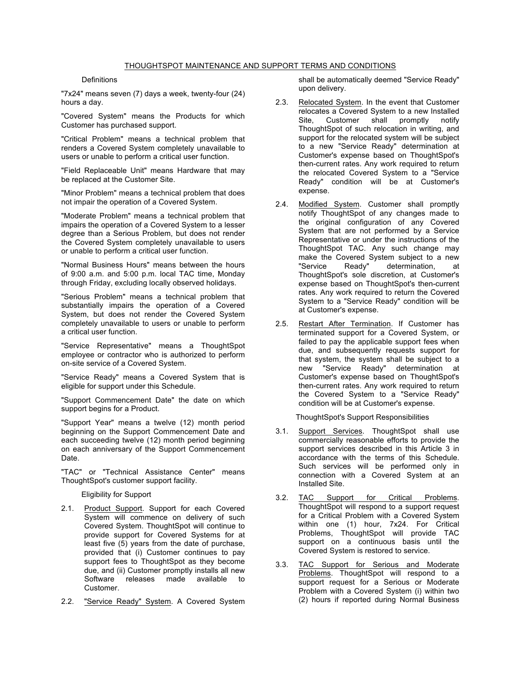## THOUGHTSPOT MAINTENANCE AND SUPPORT TERMS AND CONDITIONS

## **Definitions**

"7x24" means seven (7) days a week, twenty-four (24) hours a day.

"Covered System" means the Products for which Customer has purchased support.

"Critical Problem" means a technical problem that renders a Covered System completely unavailable to users or unable to perform a critical user function.

"Field Replaceable Unit" means Hardware that may be replaced at the Customer Site.

"Minor Problem" means a technical problem that does not impair the operation of a Covered System.

"Moderate Problem" means a technical problem that impairs the operation of a Covered System to a lesser degree than a Serious Problem, but does not render the Covered System completely unavailable to users or unable to perform a critical user function.

"Normal Business Hours" means between the hours of 9:00 a.m. and 5:00 p.m. local TAC time, Monday through Friday, excluding locally observed holidays.

"Serious Problem" means a technical problem that substantially impairs the operation of a Covered System, but does not render the Covered System completely unavailable to users or unable to perform a critical user function.

"Service Representative" means a ThoughtSpot employee or contractor who is authorized to perform on-site service of a Covered System.

"Service Ready" means a Covered System that is eligible for support under this Schedule.

"Support Commencement Date" the date on which support begins for a Product.

"Support Year" means a twelve (12) month period beginning on the Support Commencement Date and each succeeding twelve (12) month period beginning on each anniversary of the Support Commencement Date.

"TAC" or "Technical Assistance Center" means ThoughtSpot's customer support facility.

Eligibility for Support

- 2.1. Product Support. Support for each Covered System will commence on delivery of such Covered System. ThoughtSpot will continue to provide support for Covered Systems for at least five (5) years from the date of purchase, provided that (i) Customer continues to pay support fees to ThoughtSpot as they become due, and (ii) Customer promptly installs all new Software releases made available to Customer.
- 2.2. "Service Ready" System. A Covered System

shall be automatically deemed "Service Ready" upon delivery.

- 2.3. Relocated System. In the event that Customer relocates a Covered System to a new Installed Site, Customer shall promptly notify ThoughtSpot of such relocation in writing, and support for the relocated system will be subject to a new "Service Ready" determination at Customer's expense based on ThoughtSpot's then-current rates. Any work required to return the relocated Covered System to a "Service Ready" condition will be at Customer's expense.
- 2.4. Modified System. Customer shall promptly notify ThoughtSpot of any changes made to the original configuration of any Covered System that are not performed by a Service Representative or under the instructions of the ThoughtSpot TAC. Any such change may make the Covered System subject to a new<br>"Service Ready" determination, at determination, at ThoughtSpot's sole discretion, at Customer's expense based on ThoughtSpot's then-current rates. Any work required to return the Covered System to a "Service Ready" condition will be at Customer's expense.
- 2.5. Restart After Termination. If Customer has terminated support for a Covered System, or failed to pay the applicable support fees when due, and subsequently requests support for that system, the system shall be subject to a new "Service Ready" determination at Customer's expense based on ThoughtSpot's then-current rates. Any work required to return the Covered System to a "Service Ready" condition will be at Customer's expense.

ThoughtSpot's Support Responsibilities

- 3.1. Support Services. ThoughtSpot shall use commercially reasonable efforts to provide the support services described in this Article 3 in accordance with the terms of this Schedule. Such services will be performed only in connection with a Covered System at an Installed Site.
- 3.2. TAC Support for Critical Problems. ThoughtSpot will respond to a support request for a Critical Problem with a Covered System within one (1) hour, 7x24. For Critical Problems, ThoughtSpot will provide TAC support on a continuous basis until the Covered System is restored to service.
- 3.3. TAC Support for Serious and Moderate Problems. ThoughtSpot will respond to a support request for a Serious or Moderate Problem with a Covered System (i) within two (2) hours if reported during Normal Business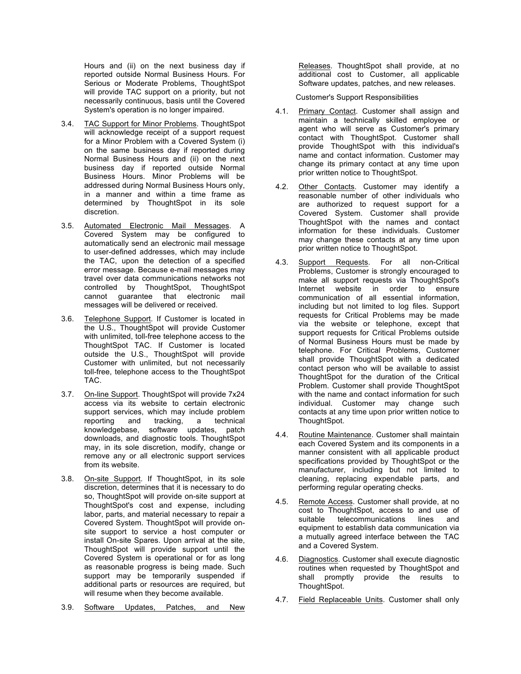Hours and (ii) on the next business day if reported outside Normal Business Hours. For Serious or Moderate Problems, ThoughtSpot will provide TAC support on a priority, but not necessarily continuous, basis until the Covered System's operation is no longer impaired.

- 3.4. TAC Support for Minor Problems. ThoughtSpot will acknowledge receipt of a support request for a Minor Problem with a Covered System (i) on the same business day if reported during Normal Business Hours and (ii) on the next business day if reported outside Normal Business Hours. Minor Problems will be addressed during Normal Business Hours only, in a manner and within a time frame as determined by ThoughtSpot in its sole discretion.
- 3.5. Automated Electronic Mail Messages. A Covered System may be configured to automatically send an electronic mail message to user-defined addresses, which may include the TAC, upon the detection of a specified error message. Because e-mail messages may travel over data communications networks not controlled by ThoughtSpot, ThoughtSpot cannot guarantee that electronic mail messages will be delivered or received.
- 3.6. Telephone Support. If Customer is located in the U.S., ThoughtSpot will provide Customer with unlimited, toll-free telephone access to the ThoughtSpot TAC. If Customer is located outside the U.S., ThoughtSpot will provide Customer with unlimited, but not necessarily toll-free, telephone access to the ThoughtSpot TAC.
- 3.7. On-line Support. ThoughtSpot will provide 7x24 access via its website to certain electronic support services, which may include problem reporting and tracking, a technical knowledgebase, software updates, patch downloads, and diagnostic tools. ThoughtSpot may, in its sole discretion, modify, change or remove any or all electronic support services from its website.
- 3.8. On-site Support. If ThoughtSpot, in its sole discretion, determines that it is necessary to do so, ThoughtSpot will provide on-site support at ThoughtSpot's cost and expense, including labor, parts, and material necessary to repair a Covered System. ThoughtSpot will provide onsite support to service a host computer or install On-site Spares. Upon arrival at the site, ThoughtSpot will provide support until the Covered System is operational or for as long as reasonable progress is being made. Such support may be temporarily suspended if additional parts or resources are required, but will resume when they become available.
- 3.9. Software Updates, Patches, and New

Releases. ThoughtSpot shall provide, at no additional cost to Customer, all applicable Software updates, patches, and new releases.

Customer's Support Responsibilities

- 4.1. Primary Contact. Customer shall assign and maintain a technically skilled employee or agent who will serve as Customer's primary contact with ThoughtSpot. Customer shall provide ThoughtSpot with this individual's name and contact information. Customer may change its primary contact at any time upon prior written notice to ThoughtSpot.
- 4.2. Other Contacts. Customer may identify a reasonable number of other individuals who are authorized to request support for a Covered System. Customer shall provide ThoughtSpot with the names and contact information for these individuals. Customer may change these contacts at any time upon prior written notice to ThoughtSpot.
- 4.3. Support Requests. For all non-Critical Problems, Customer is strongly encouraged to make all support requests via ThoughtSpot's Internet website in order to ensure communication of all essential information, including but not limited to log files. Support requests for Critical Problems may be made via the website or telephone, except that support requests for Critical Problems outside of Normal Business Hours must be made by telephone. For Critical Problems, Customer shall provide ThoughtSpot with a dedicated contact person who will be available to assist ThoughtSpot for the duration of the Critical Problem. Customer shall provide ThoughtSpot with the name and contact information for such individual. Customer may change such contacts at any time upon prior written notice to ThoughtSpot.
- 4.4. Routine Maintenance. Customer shall maintain each Covered System and its components in a manner consistent with all applicable product specifications provided by ThoughtSpot or the manufacturer, including but not limited to cleaning, replacing expendable parts, and performing regular operating checks.
- 4.5. Remote Access. Customer shall provide, at no cost to ThoughtSpot, access to and use of suitable telecommunications lines and equipment to establish data communication via a mutually agreed interface between the TAC and a Covered System.
- 4.6. Diagnostics. Customer shall execute diagnostic routines when requested by ThoughtSpot and shall promptly provide the results to ThoughtSpot.
- 4.7. Field Replaceable Units. Customer shall only